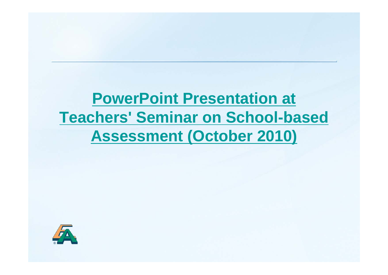# **PowerPoint Presentation at Teachers' Seminar on School-based Assessment (October 2010)**

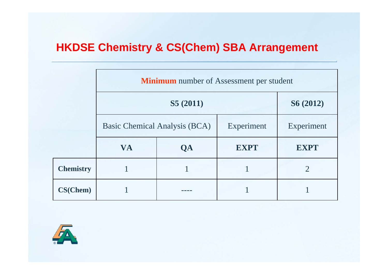### **HKDSE Chemistry & CS(Chem) SBA Arrangement**

|                  | <b>Minimum</b> number of Assessment per student |           |             |                |  |  |  |
|------------------|-------------------------------------------------|-----------|-------------|----------------|--|--|--|
|                  |                                                 | S6 (2012) |             |                |  |  |  |
|                  | Basic Chemical Analysis (BCA)                   |           | Experiment  | Experiment     |  |  |  |
|                  | <b>VA</b>                                       | QA        | <b>EXPT</b> | <b>EXPT</b>    |  |  |  |
| <b>Chemistry</b> |                                                 |           |             | $\overline{2}$ |  |  |  |
| CS(Chem)         |                                                 |           |             |                |  |  |  |

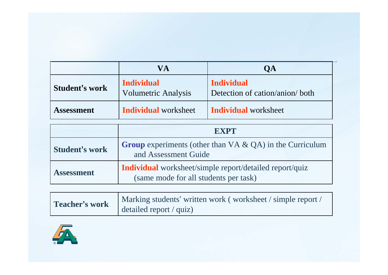|                       | VA                                              | <b>OA</b>                                            |  |
|-----------------------|-------------------------------------------------|------------------------------------------------------|--|
| <b>Student's work</b> | <b>Individual</b><br><b>Volumetric Analysis</b> | <b>Individual</b><br>Detection of cation/anion/ both |  |
| <b>Assessment</b>     | <b>Individual</b> worksheet                     | <b>Individual</b> worksheet                          |  |

|                       | <b>EXPT</b>                                                                                             |  |  |
|-----------------------|---------------------------------------------------------------------------------------------------------|--|--|
| <b>Student's work</b> | <b>Group</b> experiments (other than $VA \& QA$ ) in the Curriculum<br>and Assessment Guide             |  |  |
| <b>Assessment</b>     | <b>Individual</b> worksheet/simple report/detailed report/quiz<br>(same mode for all students per task) |  |  |

| Teacher's work | Marking students' written work (worksheet / simple report /<br>detailed report $\ell$ quiz) |
|----------------|---------------------------------------------------------------------------------------------|
|----------------|---------------------------------------------------------------------------------------------|

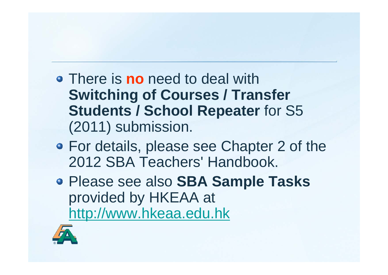- There is **no** need to deal with **Switching of Courses / Transfer Students / School Repeater** for S5 (2011) submission.
- For details, please see Chapter 2 of the 2012 SBA Teachers' Handbook.
- Please see also **SBA Sample Tasks** provided by HKEAA at http://www.hkeaa.edu.hk

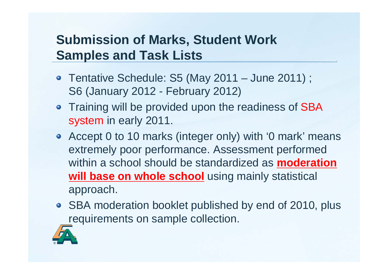### **Submission of Marks, Student Work Samples and Task Lists**

- Tentative Schedule: S5 (May 2011 June 2011); S6 (January 2012 - February 2012)
- Training will be provided upon the readiness of SBA system in early 2011.
- Accept 0 to 10 marks (integer only) with '0 mark' means extremely poor performance. Assessment performed within a school should be standardized as **moderation will base on whole school** using mainly statistical approach.
- SBA moderation booklet published by end of 2010, plus requirements on sample collection.

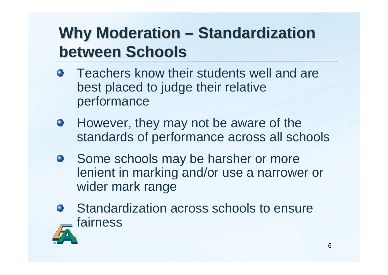#### **Why Moderation – –- Standardization between Schools**

- **Teachers know their students well and are** best placed to judge their relative performance
- However, they may not be aware of the  $\bullet$ standards of performance across all schools
- Some schools may be harsher or more lenient in marking and/or use a narrower or wider mark range
- Standardization across schools to ensure fairness

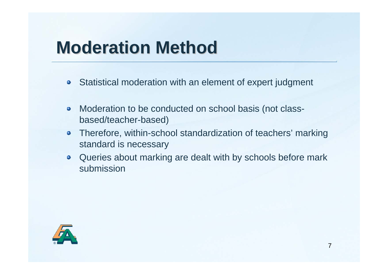# **Moderation Method Moderation Method**

- **•** Statistical moderation with an element of expert judgment
- Moderation to be conducted on school basis (not class- $\bullet$ based/teacher-based)
- Therefore, within-school standardization of teachers' marking  $\bullet$ standard is necessary
- Queries about marking are dealt with by schools before mark submission

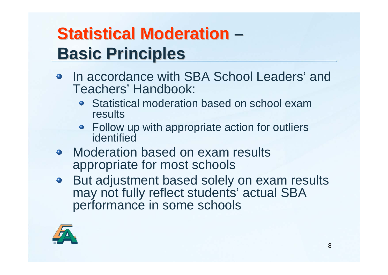### **Statistical Moderation – –Basic Principles**

- In accordance with SBA School Leaders' and Teachers' Handbook:
	- Statistical moderation based on school exam results
	- Follow up with appropriate action for outliers identified
- Moderation based on exam results appropriate for most schools
- But adjustment based solely on exam results may not fully reflect students' actual SBA performance in some schools

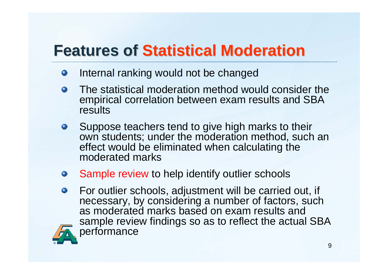## **Features of Statistical Moderation**

- Internal ranking would not be changed  $\bullet$
- The statistical moderation method would consider the  $\bullet$ empirical correlation between exam results and SBA results
- Suppose teachers tend to give high marks to their  $\bullet$ own students; under the moderation method, such an effect would be eliminated when calculating the moderated marks
- Sample review to help identify outlier schools
- For outlier schools, adjustment will be carried out, if  $\bullet$ necessary, by considering a number of factors, such as moderated marks based on exam results and sample review findings so as to reflect the actual SBA performance

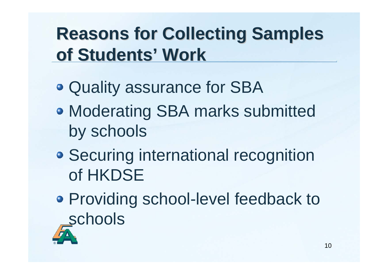# **Reasons for Collecting Samples of Students of Students'Work**

- Quality assurance for SBA
- Moderating SBA marks submitted by schools
- **Securing international recognition** of HKDSE
- Providing school-level feedback to schools

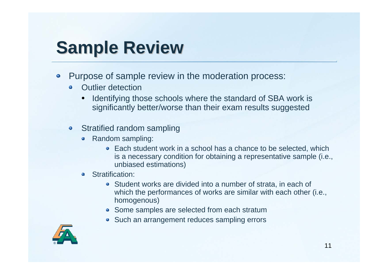# **Sample Review**

- Purpose of sample review in the moderation process:  $\bullet$ 
	- Outlier detection
		- $\bullet$  Identifying those schools where the standard of SBA work is significantly better/worse than their exam results suggested
	- Stratified random sampling
		- Random sampling:
			- Each student work in a school has a chance to be selected, which is a necessary condition for obtaining a representative sample (i.e., unbiased estimations)
		- Stratification:  $\bullet$ 
			- Student works are divided into a number of strata, in each of which the performances of works are similar with each other (i.e., homogenous)
			- Some samples are selected from each stratum
			- Such an arrangement reduces sampling errors

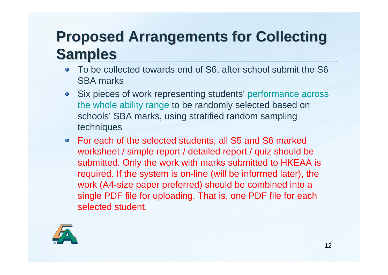## **Proposed Arrangements for Collecting Proposed Arrangements for Collecting Samples Samples**

- To be collected towards end of S6, after school submit the S6 SBA marks
- Six pieces of work representing students' performance across the whole ability range to be randomly selected based on schools' SBA marks, using stratified random sampling techniques
- For each of the selected students, all S5 and S6 marked worksheet / simple report / detailed report / quiz should be submitted. Only the work with marks submitted to HKEAA is required. If the system is on-line (will be informed later), the work (A4-size paper preferred) should be combined into a single PDF file for uploading. That is, one PDF file for each selected student.

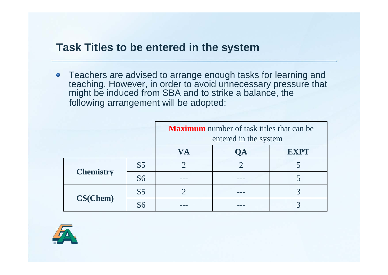#### **Task Titles to be entered in the system**

• Teachers are advised to arrange enough tasks for learning and teaching. However, in order to avoid unnecessary pressure that might be induced from SBA and to strike a balance, the following arrangement will be adopted:

|                  |                | <b>Maximum</b> number of task titles that can be<br>entered in the system |    |             |
|------------------|----------------|---------------------------------------------------------------------------|----|-------------|
|                  |                | <b>VA</b>                                                                 | ОA | <b>EXPT</b> |
|                  | S <sub>5</sub> |                                                                           |    |             |
| <b>Chemistry</b> | <b>S6</b>      |                                                                           |    |             |
|                  | S <sub>5</sub> |                                                                           |    |             |
| CS(Chem)         | S <sub>6</sub> |                                                                           |    |             |

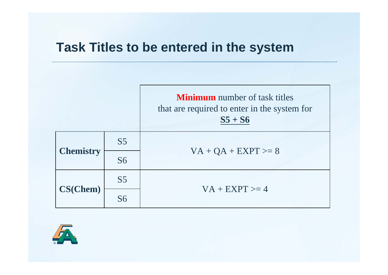### **Task Titles to be entered in the system**



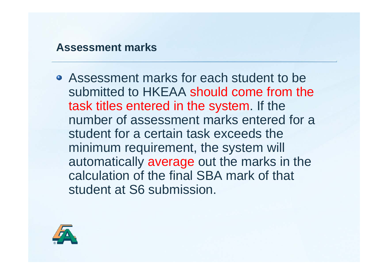#### **Assessment marks**

Assessment marks for each student to be submitted to HKEAA should come from the task titles entered in the system. If the number of assessment marks entered for a student for a certain task exceeds the minimum requirement, the system will automatically average out the marks in the calculation of the final SBA mark of that student at S6 submission.

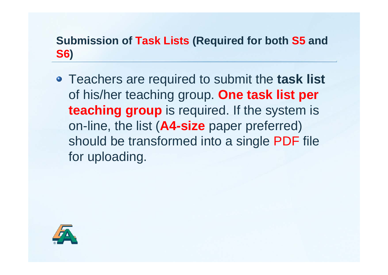### **Submission of Task Lists (Required for both S5 and S6)**

Teachers are required to submit the **task list**  of his/her teaching group. **One task list per teaching group** is required. If the system is on-line, the list (**A4-size** paper preferred) should be transformed into a single PDF file for uploading.

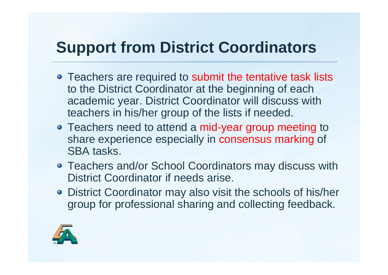## **Support from District Coordinators**

- Teachers are required to submit the tentative task lists to the District Coordinator at the beginning of each academic year. District Coordinator will discuss with teachers in his/her group of the lists if needed.
- Teachers need to attend a mid-year group meeting to share experience especially in consensus marking of SBA tasks.
- Teachers and/or School Coordinators may discuss with District Coordinator if needs arise.
- District Coordinator may also visit the schools of his/her group for professional sharing and collecting feedback.